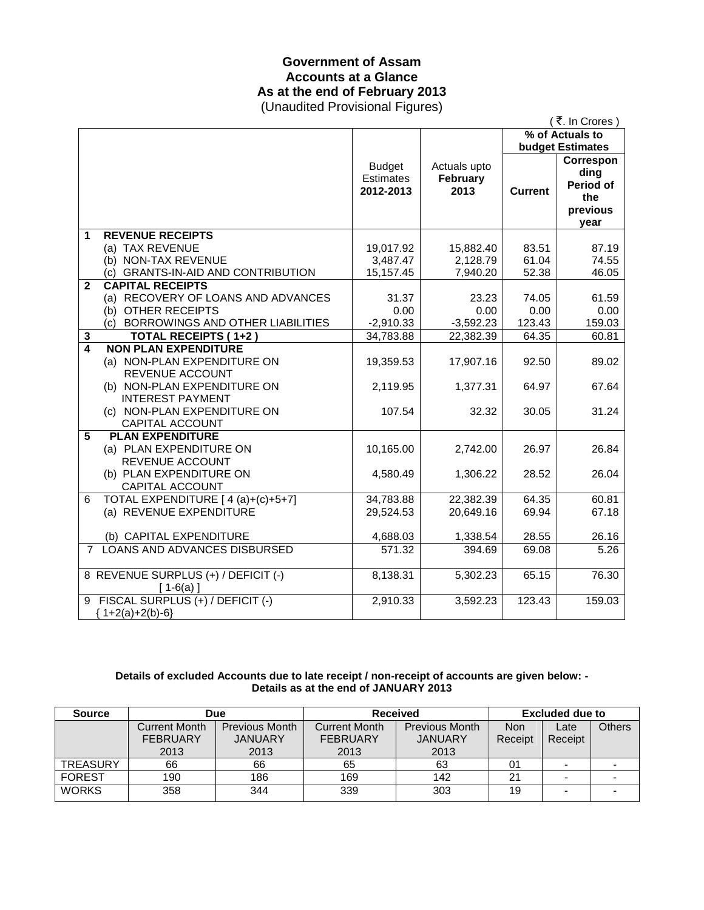# **Government of Assam Accounts at a Glance As at the end of February 2013**

(Unaudited Provisional Figures)

|                                | (そ. In Crores)                                                               |                                                |                                  |                |                                                           |  |  |
|--------------------------------|------------------------------------------------------------------------------|------------------------------------------------|----------------------------------|----------------|-----------------------------------------------------------|--|--|
|                                |                                                                              |                                                | % of Actuals to                  |                |                                                           |  |  |
|                                |                                                                              |                                                |                                  |                | <b>budget Estimates</b>                                   |  |  |
|                                |                                                                              | <b>Budget</b><br><b>Estimates</b><br>2012-2013 | Actuals upto<br>February<br>2013 | <b>Current</b> | Correspon<br>ding<br>Period of<br>the<br>previous<br>year |  |  |
| 1                              | <b>REVENUE RECEIPTS</b>                                                      |                                                |                                  |                |                                                           |  |  |
|                                | (a) TAX REVENUE                                                              | 19,017.92                                      | 15,882.40                        | 83.51          | 87.19                                                     |  |  |
|                                | (b) NON-TAX REVENUE                                                          | 3,487.47                                       | 2,128.79                         | 61.04          | 74.55                                                     |  |  |
|                                | (c) GRANTS-IN-AID AND CONTRIBUTION                                           | 15,157.45                                      | 7,940.20                         | 52.38          | 46.05                                                     |  |  |
| $\mathbf{2}$                   | <b>CAPITAL RECEIPTS</b>                                                      |                                                |                                  |                |                                                           |  |  |
|                                | (a) RECOVERY OF LOANS AND ADVANCES                                           | 31.37                                          | 23.23                            | 74.05          | 61.59                                                     |  |  |
|                                | (b) OTHER RECEIPTS                                                           | 0.00                                           | 0.00                             | 0.00           | 0.00                                                      |  |  |
|                                | (c) BORROWINGS AND OTHER LIABILITIES                                         | $-2,910.33$                                    | $-3,592.23$                      | 123.43         | 159.03                                                    |  |  |
| $\mathbf{3}$<br>$\overline{4}$ | <b>TOTAL RECEIPTS (1+2)</b><br><b>NON PLAN EXPENDITURE</b>                   | 34,783.88                                      | 22,382.39                        | 64.35          | 60.81                                                     |  |  |
|                                | (a) NON-PLAN EXPENDITURE ON<br>REVENUE ACCOUNT                               | 19,359.53                                      | 17,907.16                        | 92.50          | 89.02                                                     |  |  |
|                                | (b) NON-PLAN EXPENDITURE ON<br><b>INTEREST PAYMENT</b>                       | 2,119.95                                       | 1,377.31                         | 64.97          | 67.64                                                     |  |  |
|                                | (c) NON-PLAN EXPENDITURE ON<br>CAPITAL ACCOUNT                               | 107.54                                         | 32.32                            | 30.05          | 31.24                                                     |  |  |
| 5                              | <b>PLAN EXPENDITURE</b><br>(a) PLAN EXPENDITURE ON<br><b>REVENUE ACCOUNT</b> | 10,165.00                                      | 2,742.00                         | 26.97          | 26.84                                                     |  |  |
|                                | (b) PLAN EXPENDITURE ON<br><b>CAPITAL ACCOUNT</b>                            | 4,580.49                                       | 1,306.22                         | 28.52          | 26.04                                                     |  |  |
| 6                              | TOTAL EXPENDITURE [4(a)+(c)+5+7]                                             | 34,783.88                                      | 22,382.39                        | 64.35          | 60.81                                                     |  |  |
|                                | (a) REVENUE EXPENDITURE                                                      | 29,524.53                                      | 20,649.16                        | 69.94          | 67.18                                                     |  |  |
|                                | (b) CAPITAL EXPENDITURE                                                      | 4,688.03                                       | 1,338.54                         | 28.55          | 26.16                                                     |  |  |
| $7^{\circ}$                    | <b>LOANS AND ADVANCES DISBURSED</b>                                          | 571.32                                         | 394.69                           | 69.08          | 5.26                                                      |  |  |
|                                | 8 REVENUE SURPLUS (+) / DEFICIT (-)<br>$[1-6(a)]$                            | 8,138.31                                       | 5,302.23                         | 65.15          | 76.30                                                     |  |  |
|                                | 9 FISCAL SURPLUS (+) / DEFICIT (-)<br>${1+2(a)+2(b)-6}$                      | 2,910.33                                       | 3,592.23                         | 123.43         | 159.03                                                    |  |  |

### **Details of excluded Accounts due to late receipt / non-receipt of accounts are given below: - Details as at the end of JANUARY 2013**

| <b>Source</b>   | Due                  |                       | <b>Received</b>      |                       | Excluded due to |                          |               |
|-----------------|----------------------|-----------------------|----------------------|-----------------------|-----------------|--------------------------|---------------|
|                 | <b>Current Month</b> | <b>Previous Month</b> | <b>Current Month</b> | <b>Previous Month</b> | <b>Non</b>      | Late                     | <b>Others</b> |
|                 | <b>FEBRUARY</b>      | <b>JANUARY</b>        | <b>FEBRUARY</b>      | <b>JANUARY</b>        | Receipt         | Receipt                  |               |
|                 | 2013                 | 2013                  | 2013                 | 2013                  |                 |                          |               |
| <b>TREASURY</b> | 66                   | 66                    | 65                   | 63                    | 01              | $\overline{\phantom{a}}$ |               |
| <b>FOREST</b>   | 190                  | 186                   | 169                  | 142                   | 21              | -                        |               |
| <b>WORKS</b>    | 358                  | 344                   | 339                  | 303                   | 19              |                          |               |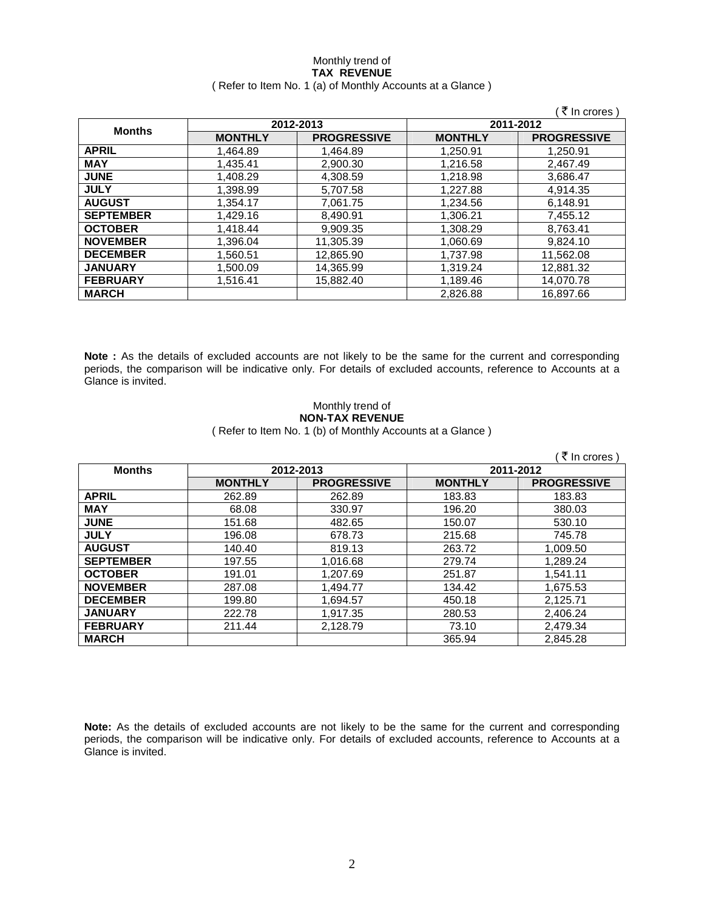### Monthly trend of **TAX REVENUE**  ( Refer to Item No. 1 (a) of Monthly Accounts at a Glance )

|                  |                |                    |                | ₹ In crores )      |
|------------------|----------------|--------------------|----------------|--------------------|
|                  | 2012-2013      |                    | 2011-2012      |                    |
| <b>Months</b>    | <b>MONTHLY</b> | <b>PROGRESSIVE</b> | <b>MONTHLY</b> | <b>PROGRESSIVE</b> |
| <b>APRIL</b>     | 1,464.89       | 1.464.89           | 1,250.91       | 1.250.91           |
| <b>MAY</b>       | 1,435.41       | 2,900.30           | 1,216.58       | 2,467.49           |
| <b>JUNE</b>      | 1,408.29       | 4,308.59           | 1,218.98       | 3,686.47           |
| <b>JULY</b>      | 1,398.99       | 5,707.58           | 1.227.88       | 4.914.35           |
| <b>AUGUST</b>    | 1,354.17       | 7,061.75           | 1,234.56       | 6,148.91           |
| <b>SEPTEMBER</b> | 1,429.16       | 8,490.91           | 1,306.21       | 7.455.12           |
| <b>OCTOBER</b>   | 1.418.44       | 9.909.35           | 1,308.29       | 8.763.41           |
| <b>NOVEMBER</b>  | 1,396.04       | 11,305.39          | 1,060.69       | 9,824.10           |
| <b>DECEMBER</b>  | 1,560.51       | 12,865.90          | 1,737.98       | 11,562.08          |
| <b>JANUARY</b>   | 1,500.09       | 14,365.99          | 1,319.24       | 12,881.32          |
| <b>FEBRUARY</b>  | 1,516.41       | 15,882.40          | 1,189.46       | 14,070.78          |
| <b>MARCH</b>     |                |                    | 2,826.88       | 16,897.66          |

**Note :** As the details of excluded accounts are not likely to be the same for the current and corresponding periods, the comparison will be indicative only. For details of excluded accounts, reference to Accounts at a Glance is invited.

## Monthly trend of **NON-TAX REVENUE**

( Refer to Item No. 1 (b) of Monthly Accounts at a Glance )

|                  |                |                    |                | ₹ In crores        |
|------------------|----------------|--------------------|----------------|--------------------|
| <b>Months</b>    | 2012-2013      |                    |                | 2011-2012          |
|                  | <b>MONTHLY</b> | <b>PROGRESSIVE</b> | <b>MONTHLY</b> | <b>PROGRESSIVE</b> |
| <b>APRIL</b>     | 262.89         | 262.89             | 183.83         | 183.83             |
| <b>MAY</b>       | 68.08          | 330.97             | 196.20         | 380.03             |
| <b>JUNE</b>      | 151.68         | 482.65             | 150.07         | 530.10             |
| <b>JULY</b>      | 196.08         | 678.73             | 215.68         | 745.78             |
| <b>AUGUST</b>    | 140.40         | 819.13             | 263.72         | 1,009.50           |
| <b>SEPTEMBER</b> | 197.55         | 1,016.68           | 279.74         | 1,289.24           |
| <b>OCTOBER</b>   | 191.01         | 1,207.69           | 251.87         | 1,541.11           |
| <b>NOVEMBER</b>  | 287.08         | 1,494.77           | 134.42         | 1,675.53           |
| <b>DECEMBER</b>  | 199.80         | 1,694.57           | 450.18         | 2,125.71           |
| <b>JANUARY</b>   | 222.78         | 1,917.35           | 280.53         | 2,406.24           |
| <b>FEBRUARY</b>  | 211.44         | 2,128.79           | 73.10          | 2,479.34           |
| <b>MARCH</b>     |                |                    | 365.94         | 2,845.28           |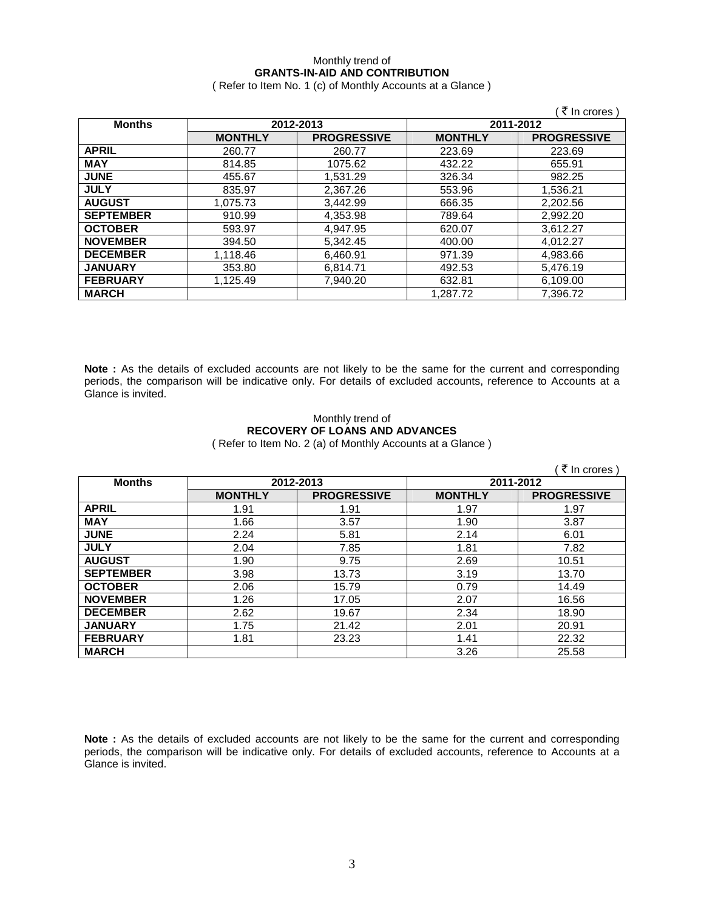## Monthly trend of **GRANTS-IN-AID AND CONTRIBUTION**

( Refer to Item No. 1 (c) of Monthly Accounts at a Glance )

|                  |                |                    |                | ₹ In crores)       |
|------------------|----------------|--------------------|----------------|--------------------|
| <b>Months</b>    |                | 2012-2013          | 2011-2012      |                    |
|                  | <b>MONTHLY</b> | <b>PROGRESSIVE</b> | <b>MONTHLY</b> | <b>PROGRESSIVE</b> |
| <b>APRIL</b>     | 260.77         | 260.77             | 223.69         | 223.69             |
| <b>MAY</b>       | 814.85         | 1075.62            | 432.22         | 655.91             |
| <b>JUNE</b>      | 455.67         | 1,531.29           | 326.34         | 982.25             |
| <b>JULY</b>      | 835.97         | 2,367.26           | 553.96         | 1,536.21           |
| <b>AUGUST</b>    | 1.075.73       | 3.442.99           | 666.35         | 2,202.56           |
| <b>SEPTEMBER</b> | 910.99         | 4,353.98           | 789.64         | 2,992.20           |
| <b>OCTOBER</b>   | 593.97         | 4.947.95           | 620.07         | 3,612.27           |
| <b>NOVEMBER</b>  | 394.50         | 5.342.45           | 400.00         | 4.012.27           |
| <b>DECEMBER</b>  | 1,118.46       | 6,460.91           | 971.39         | 4,983.66           |
| <b>JANUARY</b>   | 353.80         | 6,814.71           | 492.53         | 5,476.19           |
| <b>FEBRUARY</b>  | 1.125.49       | 7.940.20           | 632.81         | 6,109.00           |
| <b>MARCH</b>     |                |                    | 1.287.72       | 7.396.72           |

**Note :** As the details of excluded accounts are not likely to be the same for the current and corresponding periods, the comparison will be indicative only. For details of excluded accounts, reference to Accounts at a Glance is invited.

### Monthly trend of **RECOVERY OF LOANS AND ADVANCES**  ( Refer to Item No. 2 (a) of Monthly Accounts at a Glance )

|                  |                |                    |                | ₹ In crores        |
|------------------|----------------|--------------------|----------------|--------------------|
| <b>Months</b>    | 2012-2013      |                    | 2011-2012      |                    |
|                  | <b>MONTHLY</b> | <b>PROGRESSIVE</b> | <b>MONTHLY</b> | <b>PROGRESSIVE</b> |
| <b>APRIL</b>     | 1.91           | 1.91               | 1.97           | 1.97               |
| <b>MAY</b>       | 1.66           | 3.57               | 1.90           | 3.87               |
| <b>JUNE</b>      | 2.24           | 5.81               | 2.14           | 6.01               |
| <b>JULY</b>      | 2.04           | 7.85               | 1.81           | 7.82               |
| <b>AUGUST</b>    | 1.90           | 9.75               | 2.69           | 10.51              |
| <b>SEPTEMBER</b> | 3.98           | 13.73              | 3.19           | 13.70              |
| <b>OCTOBER</b>   | 2.06           | 15.79              | 0.79           | 14.49              |
| <b>NOVEMBER</b>  | 1.26           | 17.05              | 2.07           | 16.56              |
| <b>DECEMBER</b>  | 2.62           | 19.67              | 2.34           | 18.90              |
| <b>JANUARY</b>   | 1.75           | 21.42              | 2.01           | 20.91              |
| <b>FEBRUARY</b>  | 1.81           | 23.23              | 1.41           | 22.32              |
| <b>MARCH</b>     |                |                    | 3.26           | 25.58              |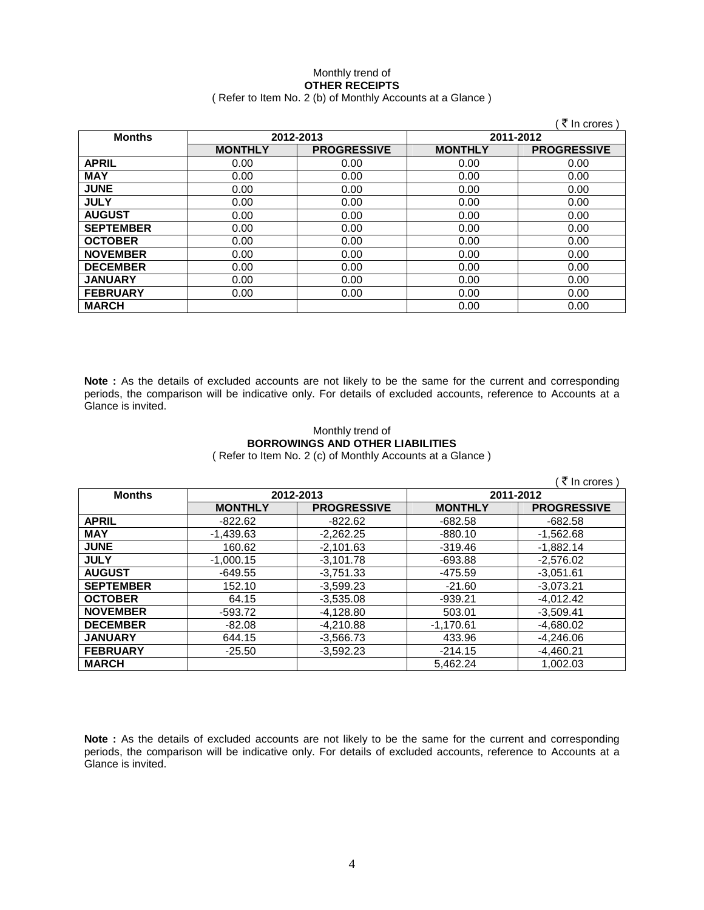### Monthly trend of **OTHER RECEIPTS**  ( Refer to Item No. 2 (b) of Monthly Accounts at a Glance )

|                  |                |                    |                | ₹ In crores)       |
|------------------|----------------|--------------------|----------------|--------------------|
| <b>Months</b>    | 2012-2013      |                    | 2011-2012      |                    |
|                  | <b>MONTHLY</b> | <b>PROGRESSIVE</b> | <b>MONTHLY</b> | <b>PROGRESSIVE</b> |
| <b>APRIL</b>     | 0.00           | 0.00               | 0.00           | 0.00               |
| <b>MAY</b>       | 0.00           | 0.00               | 0.00           | 0.00               |
| <b>JUNE</b>      | 0.00           | 0.00               | 0.00           | 0.00               |
| <b>JULY</b>      | 0.00           | 0.00               | 0.00           | 0.00               |
| <b>AUGUST</b>    | 0.00           | 0.00               | 0.00           | 0.00               |
| <b>SEPTEMBER</b> | 0.00           | 0.00               | 0.00           | 0.00               |
| <b>OCTOBER</b>   | 0.00           | 0.00               | 0.00           | 0.00               |
| <b>NOVEMBER</b>  | 0.00           | 0.00               | 0.00           | 0.00               |
| <b>DECEMBER</b>  | 0.00           | 0.00               | 0.00           | 0.00               |
| <b>JANUARY</b>   | 0.00           | 0.00               | 0.00           | 0.00               |
| <b>FEBRUARY</b>  | 0.00           | 0.00               | 0.00           | 0.00               |
| <b>MARCH</b>     |                |                    | 0.00           | 0.00               |

**Note :** As the details of excluded accounts are not likely to be the same for the current and corresponding periods, the comparison will be indicative only. For details of excluded accounts, reference to Accounts at a Glance is invited.

### Monthly trend of **BORROWINGS AND OTHER LIABILITIES**  ( Refer to Item No. 2 (c) of Monthly Accounts at a Glance )

|                  |                |                    |                | ( ₹ In crores )    |
|------------------|----------------|--------------------|----------------|--------------------|
| <b>Months</b>    |                | 2012-2013          |                | 2011-2012          |
|                  | <b>MONTHLY</b> | <b>PROGRESSIVE</b> | <b>MONTHLY</b> | <b>PROGRESSIVE</b> |
| <b>APRIL</b>     | $-822.62$      | $-822.62$          | $-682.58$      | $-682.58$          |
| <b>MAY</b>       | $-1,439.63$    | $-2,262.25$        | $-880.10$      | $-1,562.68$        |
| <b>JUNE</b>      | 160.62         | $-2,101.63$        | $-319.46$      | $-1,882.14$        |
| <b>JULY</b>      | $-1.000.15$    | $-3.101.78$        | $-693.88$      | $-2.576.02$        |
| <b>AUGUST</b>    | $-649.55$      | $-3.751.33$        | -475.59        | $-3.051.61$        |
| <b>SEPTEMBER</b> | 152.10         | $-3,599.23$        | $-21.60$       | $-3,073.21$        |
| <b>OCTOBER</b>   | 64.15          | $-3.535.08$        | $-939.21$      | $-4.012.42$        |
| <b>NOVEMBER</b>  | $-593.72$      | $-4,128.80$        | 503.01         | $-3,509.41$        |
| <b>DECEMBER</b>  | $-82.08$       | $-4.210.88$        | $-1.170.61$    | $-4.680.02$        |
| <b>JANUARY</b>   | 644.15         | $-3,566.73$        | 433.96         | $-4.246.06$        |
| <b>FEBRUARY</b>  | $-25.50$       | $-3.592.23$        | $-214.15$      | $-4.460.21$        |
| <b>MARCH</b>     |                |                    | 5.462.24       | 1.002.03           |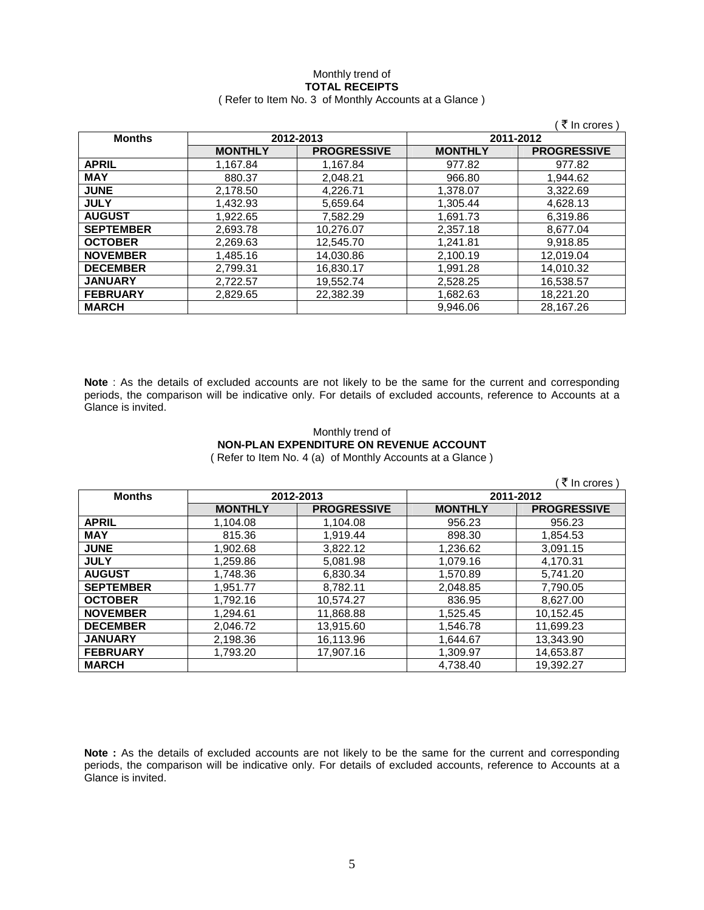### Monthly trend of **TOTAL RECEIPTS**  ( Refer to Item No. 3 of Monthly Accounts at a Glance )

|                  |                |                    |                | (₹ In crores)      |
|------------------|----------------|--------------------|----------------|--------------------|
| <b>Months</b>    |                | 2012-2013          | 2011-2012      |                    |
|                  | <b>MONTHLY</b> | <b>PROGRESSIVE</b> | <b>MONTHLY</b> | <b>PROGRESSIVE</b> |
| <b>APRIL</b>     | 1.167.84       | 1,167.84           | 977.82         | 977.82             |
| <b>MAY</b>       | 880.37         | 2,048.21           | 966.80         | 1,944.62           |
| <b>JUNE</b>      | 2,178.50       | 4,226.71           | 1,378.07       | 3,322.69           |
| <b>JULY</b>      | 1,432.93       | 5,659.64           | 1,305.44       | 4,628.13           |
| <b>AUGUST</b>    | 1,922.65       | 7,582.29           | 1,691.73       | 6,319.86           |
| <b>SEPTEMBER</b> | 2,693.78       | 10,276.07          | 2,357.18       | 8,677.04           |
| <b>OCTOBER</b>   | 2.269.63       | 12.545.70          | 1.241.81       | 9.918.85           |
| <b>NOVEMBER</b>  | 1.485.16       | 14.030.86          | 2.100.19       | 12.019.04          |
| <b>DECEMBER</b>  | 2.799.31       | 16.830.17          | 1.991.28       | 14.010.32          |
| <b>JANUARY</b>   | 2.722.57       | 19.552.74          | 2.528.25       | 16,538.57          |
| <b>FEBRUARY</b>  | 2,829.65       | 22,382.39          | 1,682.63       | 18,221.20          |
| <b>MARCH</b>     |                |                    | 9.946.06       | 28.167.26          |

**Note** : As the details of excluded accounts are not likely to be the same for the current and corresponding periods, the comparison will be indicative only. For details of excluded accounts, reference to Accounts at a Glance is invited.

# Monthly trend of **NON-PLAN EXPENDITURE ON REVENUE ACCOUNT**

( Refer to Item No. 4 (a) of Monthly Accounts at a Glance )

|                  |                |                    |                | ₹ In crores )      |
|------------------|----------------|--------------------|----------------|--------------------|
| <b>Months</b>    | 2012-2013      |                    | 2011-2012      |                    |
|                  | <b>MONTHLY</b> | <b>PROGRESSIVE</b> | <b>MONTHLY</b> | <b>PROGRESSIVE</b> |
| <b>APRIL</b>     | 1,104.08       | 1,104.08           | 956.23         | 956.23             |
| <b>MAY</b>       | 815.36         | 1.919.44           | 898.30         | 1.854.53           |
| <b>JUNE</b>      | 1.902.68       | 3.822.12           | 1,236.62       | 3,091.15           |
| <b>JULY</b>      | 1.259.86       | 5.081.98           | 1.079.16       | 4.170.31           |
| <b>AUGUST</b>    | 1,748.36       | 6,830.34           | 1.570.89       | 5.741.20           |
| <b>SEPTEMBER</b> | 1,951.77       | 8,782.11           | 2,048.85       | 7,790.05           |
| <b>OCTOBER</b>   | 1.792.16       | 10.574.27          | 836.95         | 8.627.00           |
| <b>NOVEMBER</b>  | 1,294.61       | 11,868.88          | 1,525.45       | 10,152.45          |
| <b>DECEMBER</b>  | 2.046.72       | 13,915.60          | 1,546.78       | 11,699.23          |
| <b>JANUARY</b>   | 2,198.36       | 16,113.96          | 1,644.67       | 13,343.90          |
| <b>FEBRUARY</b>  | 1,793.20       | 17,907.16          | 1,309.97       | 14,653.87          |
| <b>MARCH</b>     |                |                    | 4.738.40       | 19.392.27          |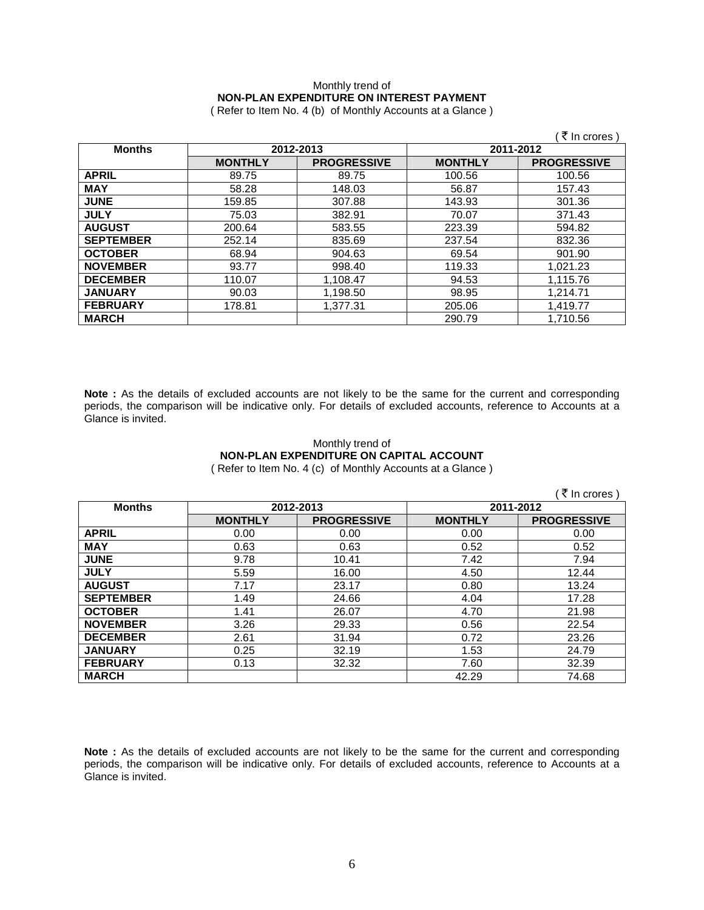## Monthly trend of **NON-PLAN EXPENDITURE ON INTEREST PAYMENT**

( Refer to Item No. 4 (b) of Monthly Accounts at a Glance )

|                            |                |                    |                | ₹ In crores )      |
|----------------------------|----------------|--------------------|----------------|--------------------|
| 2012-2013<br><b>Months</b> |                | 2011-2012          |                |                    |
|                            | <b>MONTHLY</b> | <b>PROGRESSIVE</b> | <b>MONTHLY</b> | <b>PROGRESSIVE</b> |
| <b>APRIL</b>               | 89.75          | 89.75              | 100.56         | 100.56             |
| <b>MAY</b>                 | 58.28          | 148.03             | 56.87          | 157.43             |
| <b>JUNE</b>                | 159.85         | 307.88             | 143.93         | 301.36             |
| <b>JULY</b>                | 75.03          | 382.91             | 70.07          | 371.43             |
| <b>AUGUST</b>              | 200.64         | 583.55             | 223.39         | 594.82             |
| <b>SEPTEMBER</b>           | 252.14         | 835.69             | 237.54         | 832.36             |
| <b>OCTOBER</b>             | 68.94          | 904.63             | 69.54          | 901.90             |
| <b>NOVEMBER</b>            | 93.77          | 998.40             | 119.33         | 1,021.23           |
| <b>DECEMBER</b>            | 110.07         | 1,108.47           | 94.53          | 1,115.76           |
| <b>JANUARY</b>             | 90.03          | 1,198.50           | 98.95          | 1.214.71           |
| <b>FEBRUARY</b>            | 178.81         | 1,377.31           | 205.06         | 1,419.77           |
| <b>MARCH</b>               |                |                    | 290.79         | 1,710.56           |

**Note :** As the details of excluded accounts are not likely to be the same for the current and corresponding periods, the comparison will be indicative only. For details of excluded accounts, reference to Accounts at a Glance is invited.

## Monthly trend of **NON-PLAN EXPENDITURE ON CAPITAL ACCOUNT**

( Refer to Item No. 4 (c) of Monthly Accounts at a Glance )

|                  |                |                    |                | ₹ In crores )      |
|------------------|----------------|--------------------|----------------|--------------------|
| <b>Months</b>    |                | 2012-2013          | 2011-2012      |                    |
|                  | <b>MONTHLY</b> | <b>PROGRESSIVE</b> | <b>MONTHLY</b> | <b>PROGRESSIVE</b> |
| <b>APRIL</b>     | 0.00           | 0.00               | 0.00           | 0.00               |
| <b>MAY</b>       | 0.63           | 0.63               | 0.52           | 0.52               |
| <b>JUNE</b>      | 9.78           | 10.41              | 7.42           | 7.94               |
| <b>JULY</b>      | 5.59           | 16.00              | 4.50           | 12.44              |
| <b>AUGUST</b>    | 7.17           | 23.17              | 0.80           | 13.24              |
| <b>SEPTEMBER</b> | 1.49           | 24.66              | 4.04           | 17.28              |
| <b>OCTOBER</b>   | 1.41           | 26.07              | 4.70           | 21.98              |
| <b>NOVEMBER</b>  | 3.26           | 29.33              | 0.56           | 22.54              |
| <b>DECEMBER</b>  | 2.61           | 31.94              | 0.72           | 23.26              |
| <b>JANUARY</b>   | 0.25           | 32.19              | 1.53           | 24.79              |
| <b>FEBRUARY</b>  | 0.13           | 32.32              | 7.60           | 32.39              |
| <b>MARCH</b>     |                |                    | 42.29          | 74.68              |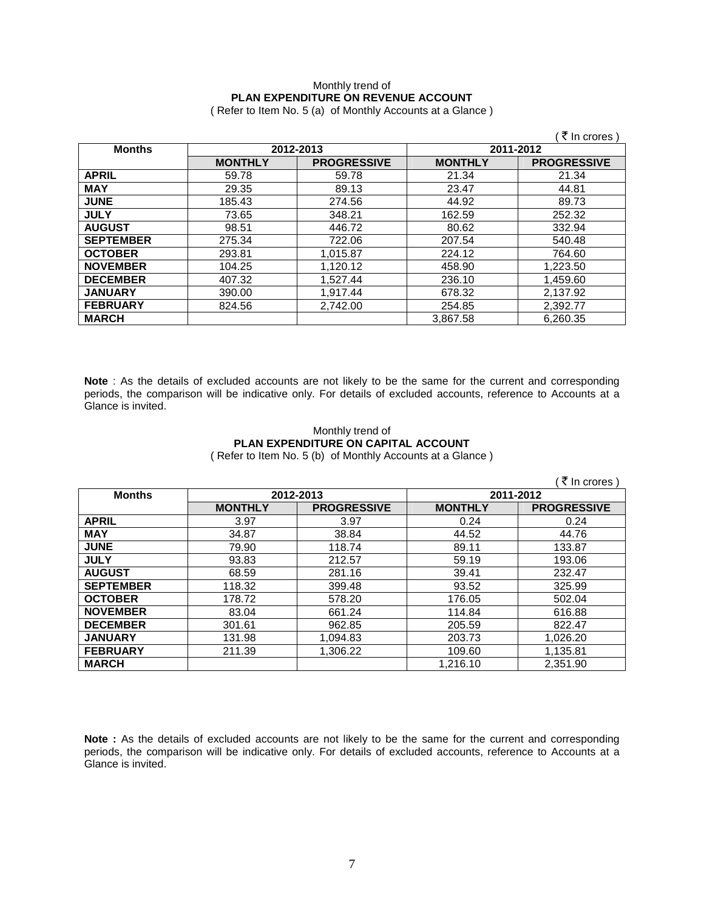## Monthly trend of **PLAN EXPENDITURE ON REVENUE ACCOUNT**

( Refer to Item No. 5 (a) of Monthly Accounts at a Glance )

|                  |                |                    |                | ₹ In crores )      |
|------------------|----------------|--------------------|----------------|--------------------|
| <b>Months</b>    | 2012-2013      |                    | 2011-2012      |                    |
|                  | <b>MONTHLY</b> | <b>PROGRESSIVE</b> | <b>MONTHLY</b> | <b>PROGRESSIVE</b> |
| <b>APRIL</b>     | 59.78          | 59.78              | 21.34          | 21.34              |
| <b>MAY</b>       | 29.35          | 89.13              | 23.47          | 44.81              |
| <b>JUNE</b>      | 185.43         | 274.56             | 44.92          | 89.73              |
| <b>JULY</b>      | 73.65          | 348.21             | 162.59         | 252.32             |
| <b>AUGUST</b>    | 98.51          | 446.72             | 80.62          | 332.94             |
| <b>SEPTEMBER</b> | 275.34         | 722.06             | 207.54         | 540.48             |
| <b>OCTOBER</b>   | 293.81         | 1,015.87           | 224.12         | 764.60             |
| <b>NOVEMBER</b>  | 104.25         | 1,120.12           | 458.90         | 1,223.50           |
| <b>DECEMBER</b>  | 407.32         | 1,527.44           | 236.10         | 1,459.60           |
| <b>JANUARY</b>   | 390.00         | 1,917.44           | 678.32         | 2,137.92           |
| <b>FEBRUARY</b>  | 824.56         | 2.742.00           | 254.85         | 2,392.77           |
| <b>MARCH</b>     |                |                    | 3.867.58       | 6,260.35           |

**Note** : As the details of excluded accounts are not likely to be the same for the current and corresponding periods, the comparison will be indicative only. For details of excluded accounts, reference to Accounts at a Glance is invited.

### Monthly trend of **PLAN EXPENDITURE ON CAPITAL ACCOUNT**  ( Refer to Item No. 5 (b) of Monthly Accounts at a Glance )

 $($   $\bar{z}$  In crores ) **Months 2012-2013 2011-2012 MONTHLY PROGRESSIVE MONTHLY PROGRESSIVE APRIL** 3.97 3.97 0.24 0.24 **MAY** 34.87 38.84 44.52 44.76 **JUNE** 79.90 118.74 89.11 133.87 **JULY** 93.83 212.57 59.19 193.06 **AUGUST** 68.59 281.16 39.41 232.47 **SEPTEMBER** | 118.32 | 399.48 | 93.52 | 325.99 **OCTOBER** | 178.72 | 578.20 | 176.05 | 502.04 **NOVEMBER** | 83.04 | 661.24 | 114.84 | 616.88 **DECEMBER** | 301.61 | 962.85 | 205.59 | 822.47 **JANUARY** | 131.98 | 1,094.83 | 203.73 | 1,026.20 **FEBRUARY** | 211.39 | 1,306.22 | 109.60 | 1,135.81 **MARCH** 1,216.10 2,351.90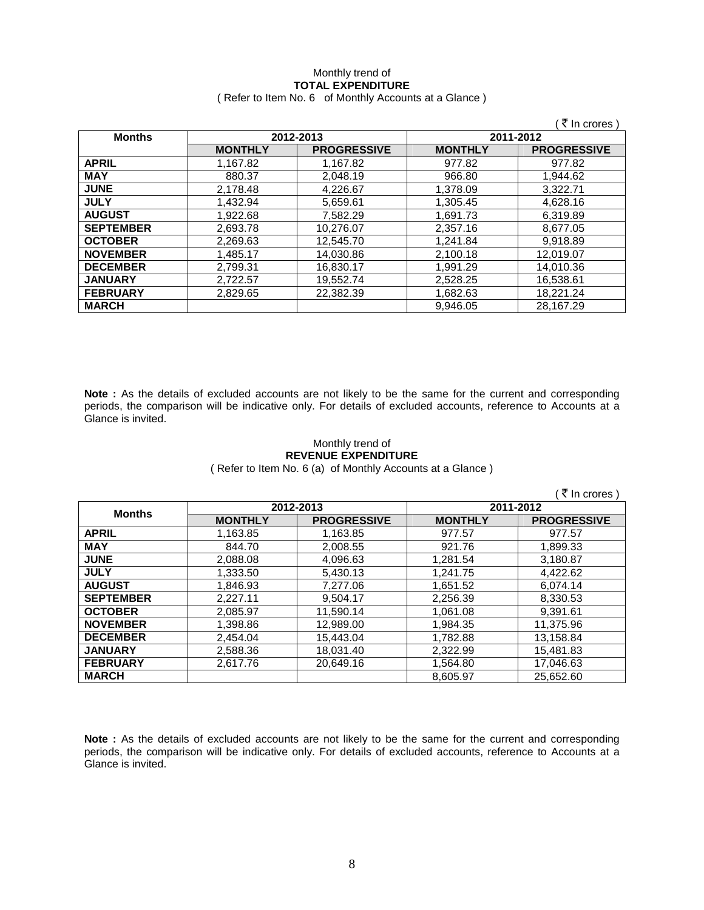### Monthly trend of **TOTAL EXPENDITURE**  ( Refer to Item No. 6 of Monthly Accounts at a Glance )

|                  |                |                    |                | ₹ In crores )      |
|------------------|----------------|--------------------|----------------|--------------------|
| <b>Months</b>    | 2012-2013      |                    | 2011-2012      |                    |
|                  | <b>MONTHLY</b> | <b>PROGRESSIVE</b> | <b>MONTHLY</b> | <b>PROGRESSIVE</b> |
| <b>APRIL</b>     | 1,167.82       | 1,167.82           | 977.82         | 977.82             |
| <b>MAY</b>       | 880.37         | 2.048.19           | 966.80         | 1.944.62           |
| <b>JUNE</b>      | 2,178.48       | 4,226.67           | 1.378.09       | 3.322.71           |
| <b>JULY</b>      | 1,432.94       | 5,659.61           | 1,305.45       | 4,628.16           |
| <b>AUGUST</b>    | 1,922.68       | 7,582.29           | 1.691.73       | 6,319.89           |
| <b>SEPTEMBER</b> | 2.693.78       | 10.276.07          | 2.357.16       | 8.677.05           |
| <b>OCTOBER</b>   | 2,269.63       | 12,545.70          | 1,241.84       | 9.918.89           |
| <b>NOVEMBER</b>  | 1,485.17       | 14,030.86          | 2,100.18       | 12,019.07          |
| <b>DECEMBER</b>  | 2,799.31       | 16,830.17          | 1,991.29       | 14,010.36          |
| <b>JANUARY</b>   | 2,722.57       | 19,552.74          | 2.528.25       | 16.538.61          |
| <b>FEBRUARY</b>  | 2.829.65       | 22.382.39          | 1,682.63       | 18.221.24          |
| <b>MARCH</b>     |                |                    | 9.946.05       | 28.167.29          |

**Note :** As the details of excluded accounts are not likely to be the same for the current and corresponding periods, the comparison will be indicative only. For details of excluded accounts, reference to Accounts at a Glance is invited.

### Monthly trend of **REVENUE EXPENDITURE**

( Refer to Item No. 6 (a) of Monthly Accounts at a Glance )

|                  |                |                    |                | र In crores \      |
|------------------|----------------|--------------------|----------------|--------------------|
| <b>Months</b>    | 2012-2013      |                    | 2011-2012      |                    |
|                  | <b>MONTHLY</b> | <b>PROGRESSIVE</b> | <b>MONTHLY</b> | <b>PROGRESSIVE</b> |
| <b>APRIL</b>     | 1,163.85       | 1,163.85           | 977.57         | 977.57             |
| <b>MAY</b>       | 844.70         | 2,008.55           | 921.76         | 1,899.33           |
| <b>JUNE</b>      | 2,088.08       | 4,096.63           | 1,281.54       | 3,180.87           |
| <b>JULY</b>      | 1.333.50       | 5,430.13           | 1,241.75       | 4,422.62           |
| <b>AUGUST</b>    | 1.846.93       | 7.277.06           | 1.651.52       | 6.074.14           |
| <b>SEPTEMBER</b> | 2.227.11       | 9.504.17           | 2.256.39       | 8.330.53           |
| <b>OCTOBER</b>   | 2.085.97       | 11,590.14          | 1.061.08       | 9.391.61           |
| <b>NOVEMBER</b>  | 1,398.86       | 12,989.00          | 1,984.35       | 11,375.96          |
| <b>DECEMBER</b>  | 2.454.04       | 15.443.04          | 1.782.88       | 13.158.84          |
| <b>JANUARY</b>   | 2,588.36       | 18,031.40          | 2.322.99       | 15,481.83          |
| <b>FEBRUARY</b>  | 2.617.76       | 20,649.16          | 1,564.80       | 17,046.63          |
| <b>MARCH</b>     |                |                    | 8.605.97       | 25.652.60          |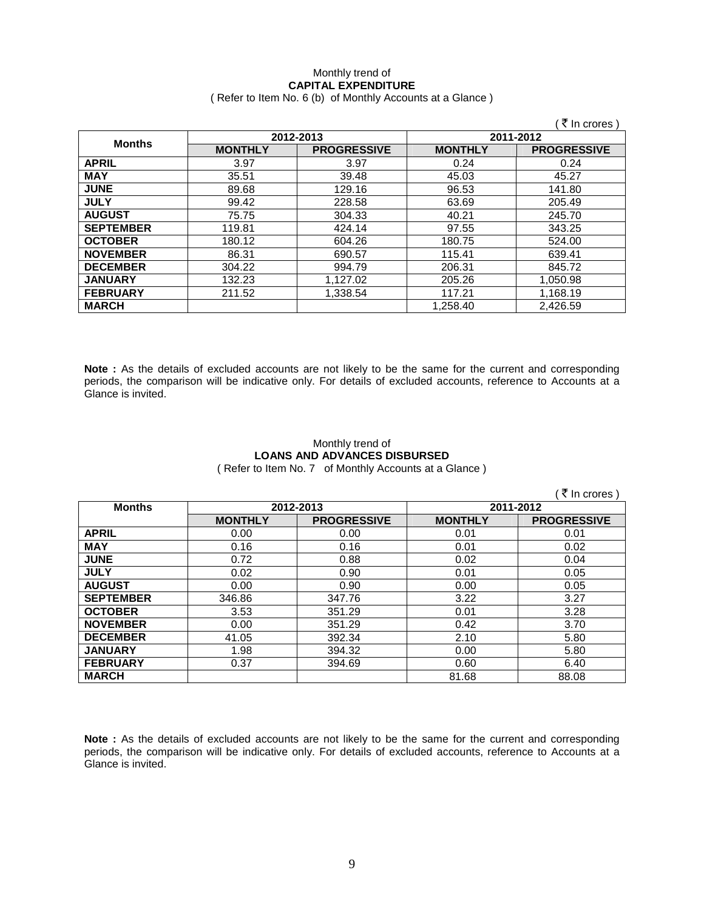### Monthly trend of **CAPITAL EXPENDITURE**  ( Refer to Item No. 6 (b) of Monthly Accounts at a Glance )

|                  |                |                    |                | ₹ In crores )      |
|------------------|----------------|--------------------|----------------|--------------------|
| <b>Months</b>    | 2012-2013      |                    | 2011-2012      |                    |
|                  | <b>MONTHLY</b> | <b>PROGRESSIVE</b> | <b>MONTHLY</b> | <b>PROGRESSIVE</b> |
| <b>APRIL</b>     | 3.97           | 3.97               | 0.24           | 0.24               |
| <b>MAY</b>       | 35.51          | 39.48              | 45.03          | 45.27              |
| <b>JUNE</b>      | 89.68          | 129.16             | 96.53          | 141.80             |
| <b>JULY</b>      | 99.42          | 228.58             | 63.69          | 205.49             |
| <b>AUGUST</b>    | 75.75          | 304.33             | 40.21          | 245.70             |
| <b>SEPTEMBER</b> | 119.81         | 424.14             | 97.55          | 343.25             |
| <b>OCTOBER</b>   | 180.12         | 604.26             | 180.75         | 524.00             |
| <b>NOVEMBER</b>  | 86.31          | 690.57             | 115.41         | 639.41             |
| <b>DECEMBER</b>  | 304.22         | 994.79             | 206.31         | 845.72             |
| <b>JANUARY</b>   | 132.23         | 1,127.02           | 205.26         | 1,050.98           |
| <b>FEBRUARY</b>  | 211.52         | 1,338.54           | 117.21         | 1,168.19           |
| <b>MARCH</b>     |                |                    | 1,258.40       | 2,426.59           |

**Note :** As the details of excluded accounts are not likely to be the same for the current and corresponding periods, the comparison will be indicative only. For details of excluded accounts, reference to Accounts at a Glance is invited.

## Monthly trend of **LOANS AND ADVANCES DISBURSED**

( Refer to Item No. 7 of Monthly Accounts at a Glance )

|                  |                |                    |                | ₹ In crores )      |
|------------------|----------------|--------------------|----------------|--------------------|
| <b>Months</b>    | 2012-2013      |                    | 2011-2012      |                    |
|                  | <b>MONTHLY</b> | <b>PROGRESSIVE</b> | <b>MONTHLY</b> | <b>PROGRESSIVE</b> |
| <b>APRIL</b>     | 0.00           | 0.00               | 0.01           | 0.01               |
| <b>MAY</b>       | 0.16           | 0.16               | 0.01           | 0.02               |
| <b>JUNE</b>      | 0.72           | 0.88               | 0.02           | 0.04               |
| <b>JULY</b>      | 0.02           | 0.90               | 0.01           | 0.05               |
| <b>AUGUST</b>    | 0.00           | 0.90               | 0.00           | 0.05               |
| <b>SEPTEMBER</b> | 346.86         | 347.76             | 3.22           | 3.27               |
| <b>OCTOBER</b>   | 3.53           | 351.29             | 0.01           | 3.28               |
| <b>NOVEMBER</b>  | 0.00           | 351.29             | 0.42           | 3.70               |
| <b>DECEMBER</b>  | 41.05          | 392.34             | 2.10           | 5.80               |
| <b>JANUARY</b>   | 1.98           | 394.32             | 0.00           | 5.80               |
| <b>FEBRUARY</b>  | 0.37           | 394.69             | 0.60           | 6.40               |
| <b>MARCH</b>     |                |                    | 81.68          | 88.08              |